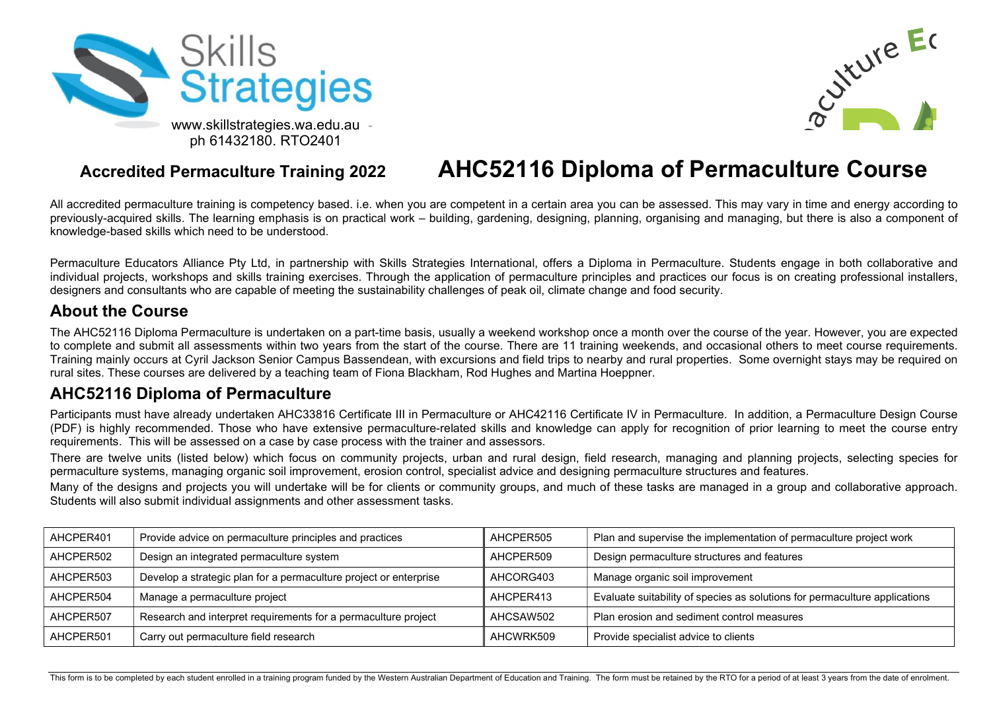



## Accredited Permaculture Training 2022 AHC52116 Diploma of Permaculture Course

All accredited permaculture training is competency based. i.e. when you are competent in a certain area you can be assessed. This may vary in time and energy according to previously-acquired skills. The learning emphasis is on practical work – building, gardening, designing, planning, organising and managing, but there is also a component of knowledge-based skills which need to be understood.

Permaculture Educators Alliance Pty Ltd, in partnership with Skills Strategies International, offers a Diploma in Permaculture. Students engage in both collaborative and individual projects, workshops and skills training exercises. Through the application of permaculture principles and practices our focus is on creating professional installers, designers and consultants who are capable of meeting the sustainability challenges of peak oil, climate change and food security.

#### About the Course

The AHC52116 Diploma Permaculture is undertaken on a part-time basis, usually a weekend workshop once a month over the course of the year. However, you are expected to complete and submit all assessments within two years from the start of the course. There are 11 training weekends, and occasional others to meet course requirements. Training mainly occurs at Cyril Jackson Senior Campus Bassendean, with excursions and field trips to nearby and rural properties. Some overnight stays may be required on rural sites. These courses are delivered by a teaching team of Fiona Blackham, Rod Hughes and Martina Hoeppner.

#### AHC52116 Diploma of Permaculture

Participants must have already undertaken AHC33816 Certificate III in Permaculture or AHC42116 Certificate IV in Permaculture. In addition, a Permaculture Design Course (PDF) is highly recommended. Those who have extensive permaculture-related skills and knowledge can apply for recognition of prior learning to meet the course entry requirements. This will be assessed on a case by case process with the trainer and assessors.

There are twelve units (listed below) which focus on community projects, urban and rural design, field research, managing and planning projects, selecting species for permaculture systems, managing organic soil improvement, erosion control, specialist advice and designing permaculture structures and features.

Many of the designs and projects you will undertake will be for clients or community groups, and much of these tasks are managed in a group and collaborative approach. Students will also submit individual assignments and other assessment tasks.

| AHCPER401 | Provide advice on permaculture principles and practices           | AHCPER505 | Plan and supervise the implementation of permaculture project work         |
|-----------|-------------------------------------------------------------------|-----------|----------------------------------------------------------------------------|
| AHCPER502 | Design an integrated permaculture system                          | AHCPER509 | Design permaculture structures and features                                |
| AHCPER503 | Develop a strategic plan for a permaculture project or enterprise | AHCORG403 | Manage organic soil improvement                                            |
| AHCPER504 | Manage a permaculture project                                     | AHCPER413 | Evaluate suitability of species as solutions for permaculture applications |
| AHCPER507 | Research and interpret requirements for a permaculture project    | AHCSAW502 | Plan erosion and sediment control measures                                 |
| AHCPER501 | Carry out permaculture field research                             | AHCWRK509 | Provide specialist advice to clients                                       |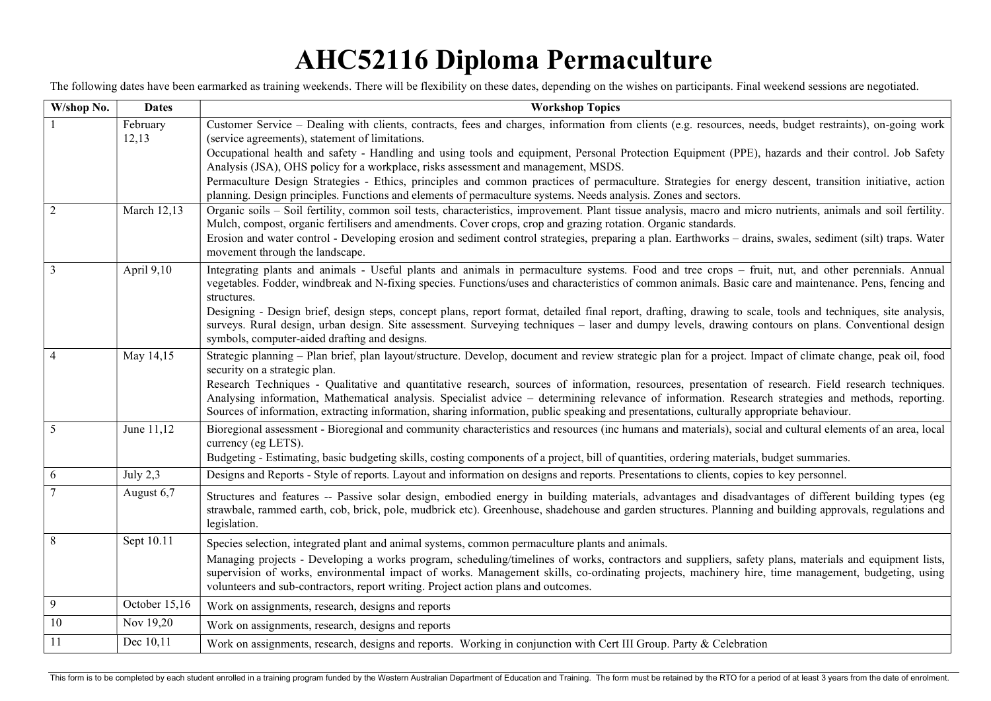# AHC52116 Diploma Permaculture

The following dates have been earmarked as training weekends. There will be flexibility on these dates, depending on the wishes on participants. Final weekend sessions are negotiated.

| W/shop No. | <b>Dates</b>      | <b>Workshop Topics</b>                                                                                                                                                                                                                                                                                                                                                                                                                                   |  |  |
|------------|-------------------|----------------------------------------------------------------------------------------------------------------------------------------------------------------------------------------------------------------------------------------------------------------------------------------------------------------------------------------------------------------------------------------------------------------------------------------------------------|--|--|
|            | February<br>12,13 | Customer Service - Dealing with clients, contracts, fees and charges, information from clients (e.g. resources, needs, budget restraints), on-going work<br>(service agreements), statement of limitations.                                                                                                                                                                                                                                              |  |  |
|            |                   | Occupational health and safety - Handling and using tools and equipment, Personal Protection Equipment (PPE), hazards and their control. Job Safety<br>Analysis (JSA), OHS policy for a workplace, risks assessment and management, MSDS.                                                                                                                                                                                                                |  |  |
|            |                   | Permaculture Design Strategies - Ethics, principles and common practices of permaculture. Strategies for energy descent, transition initiative, action<br>planning. Design principles. Functions and elements of permaculture systems. Needs analysis. Zones and sectors.                                                                                                                                                                                |  |  |
| 2          | March 12,13       | Organic soils - Soil fertility, common soil tests, characteristics, improvement. Plant tissue analysis, macro and micro nutrients, animals and soil fertility.<br>Mulch, compost, organic fertilisers and amendments. Cover crops, crop and grazing rotation. Organic standards.                                                                                                                                                                         |  |  |
|            |                   | Erosion and water control - Developing erosion and sediment control strategies, preparing a plan. Earthworks - drains, swales, sediment (silt) traps. Water<br>movement through the landscape.                                                                                                                                                                                                                                                           |  |  |
| 3          | April 9,10        | Integrating plants and animals - Useful plants and animals in permaculture systems. Food and tree crops – fruit, nut, and other perennials. Annual<br>vegetables. Fodder, windbreak and N-fixing species. Functions/uses and characteristics of common animals. Basic care and maintenance. Pens, fencing and<br>structures.                                                                                                                             |  |  |
|            |                   | Designing - Design brief, design steps, concept plans, report format, detailed final report, drafting, drawing to scale, tools and techniques, site analysis,<br>surveys. Rural design, urban design. Site assessment. Surveying techniques - laser and dumpy levels, drawing contours on plans. Conventional design<br>symbols, computer-aided drafting and designs.                                                                                    |  |  |
|            | May 14,15         | Strategic planning – Plan brief, plan layout/structure. Develop, document and review strategic plan for a project. Impact of climate change, peak oil, food<br>security on a strategic plan.                                                                                                                                                                                                                                                             |  |  |
|            |                   | Research Techniques - Qualitative and quantitative research, sources of information, resources, presentation of research. Field research techniques.<br>Analysing information, Mathematical analysis. Specialist advice – determining relevance of information. Research strategies and methods, reporting.<br>Sources of information, extracting information, sharing information, public speaking and presentations, culturally appropriate behaviour. |  |  |
| 5          | June 11,12        | Bioregional assessment - Bioregional and community characteristics and resources (inc humans and materials), social and cultural elements of an area, local<br>currency (eg LETS).                                                                                                                                                                                                                                                                       |  |  |
|            |                   | Budgeting - Estimating, basic budgeting skills, costing components of a project, bill of quantities, ordering materials, budget summaries.                                                                                                                                                                                                                                                                                                               |  |  |
| 6          | July $2,3$        | Designs and Reports - Style of reports. Layout and information on designs and reports. Presentations to clients, copies to key personnel.                                                                                                                                                                                                                                                                                                                |  |  |
|            | August 6,7        | Structures and features -- Passive solar design, embodied energy in building materials, advantages and disadvantages of different building types (eg<br>strawbale, rammed earth, cob, brick, pole, mudbrick etc). Greenhouse, shadehouse and garden structures. Planning and building approvals, regulations and<br>legislation.                                                                                                                         |  |  |
| $\,8\,$    | Sept 10.11        | Species selection, integrated plant and animal systems, common permaculture plants and animals.                                                                                                                                                                                                                                                                                                                                                          |  |  |
|            |                   | Managing projects - Developing a works program, scheduling/timelines of works, contractors and suppliers, safety plans, materials and equipment lists,<br>supervision of works, environmental impact of works. Management skills, co-ordinating projects, machinery hire, time management, budgeting, using<br>volunteers and sub-contractors, report writing. Project action plans and outcomes.                                                        |  |  |
| 9          | October 15,16     | Work on assignments, research, designs and reports                                                                                                                                                                                                                                                                                                                                                                                                       |  |  |
| 10         | Nov 19,20         | Work on assignments, research, designs and reports                                                                                                                                                                                                                                                                                                                                                                                                       |  |  |
| 11         | Dec 10,11         | Work on assignments, research, designs and reports. Working in conjunction with Cert III Group. Party & Celebration                                                                                                                                                                                                                                                                                                                                      |  |  |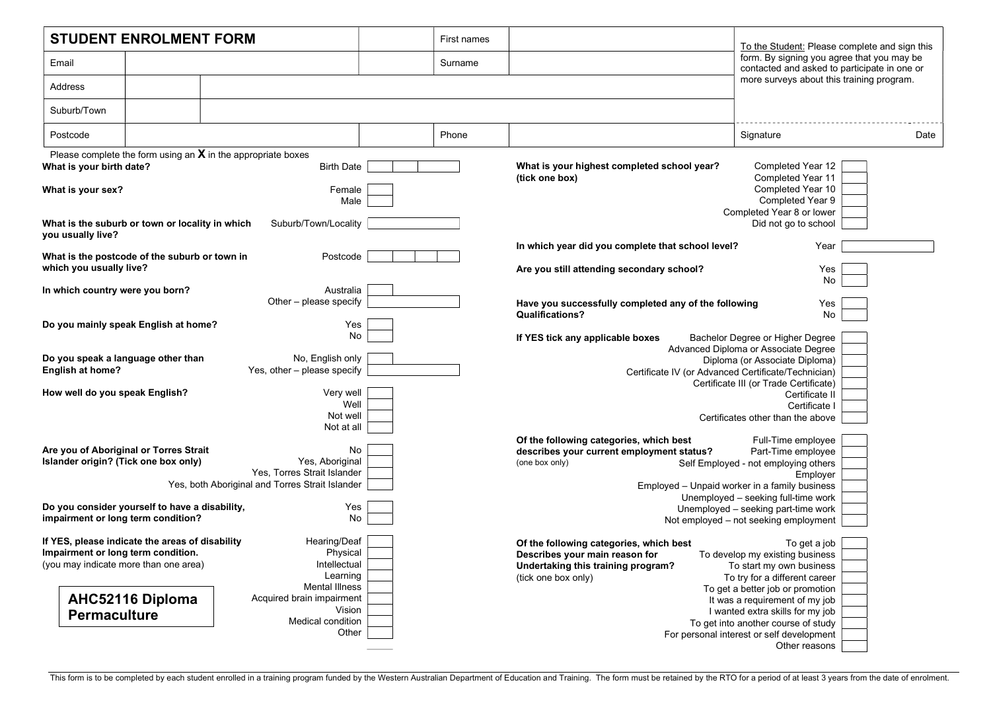| <b>STUDENT ENROLMENT FORM</b>                                                                                                                                                                     | First names     | To the Student: Please complete and sign this                                                                                                                                                                                                           |
|---------------------------------------------------------------------------------------------------------------------------------------------------------------------------------------------------|-----------------|---------------------------------------------------------------------------------------------------------------------------------------------------------------------------------------------------------------------------------------------------------|
| Email                                                                                                                                                                                             | Surname         | form. By signing you agree that you may be<br>contacted and asked to participate in one or                                                                                                                                                              |
| Address                                                                                                                                                                                           |                 | more surveys about this training program.                                                                                                                                                                                                               |
| Suburb/Town                                                                                                                                                                                       |                 |                                                                                                                                                                                                                                                         |
| Postcode                                                                                                                                                                                          | Phone           | Signature<br>Date                                                                                                                                                                                                                                       |
| Please complete the form using an $X$ in the appropriate boxes<br>What is your birth date?<br><b>Birth Date</b>                                                                                   |                 | What is your highest completed school year?<br>Completed Year 12<br>(tick one box)<br>Completed Year 11                                                                                                                                                 |
| What is your sex?<br>Female                                                                                                                                                                       | Male            | Completed Year 10<br>Completed Year 9<br>Completed Year 8 or lower                                                                                                                                                                                      |
| What is the suburb or town or locality in which<br>Suburb/Town/Locality<br>you usually live?                                                                                                      |                 | Did not go to school                                                                                                                                                                                                                                    |
| What is the postcode of the suburb or town in<br>Postcode<br>which you usually live?                                                                                                              |                 | In which year did you complete that school level?<br>Year<br>Are you still attending secondary school?<br>Yes                                                                                                                                           |
| In which country were you born?<br>Australia<br>Other - please specify                                                                                                                            |                 | No<br>Have you successfully completed any of the following<br>Yes                                                                                                                                                                                       |
| Do you mainly speak English at home?                                                                                                                                                              | Yes<br>No       | <b>Qualifications?</b><br>No<br>Bachelor Degree or Higher Degree<br>If YES tick any applicable boxes                                                                                                                                                    |
| Do you speak a language other than<br>No, English only<br>English at home?<br>Yes, other - please specify                                                                                         |                 | Advanced Diploma or Associate Degree<br>Diploma (or Associate Diploma)<br>Certificate IV (or Advanced Certificate/Technician)                                                                                                                           |
| How well do you speak English?<br>Very well<br>Not well                                                                                                                                           | Well            | Certificate III (or Trade Certificate)<br>Certificate II<br>Certificate I<br>Certificates other than the above                                                                                                                                          |
| Not at all<br>Are you of Aboriginal or Torres Strait<br>Islander origin? (Tick one box only)<br>Yes, Aboriginal<br>Yes, Torres Strait Islander<br>Yes, both Aboriginal and Torres Strait Islander | No              | Of the following categories, which best<br>Full-Time employee<br>describes your current employment status?<br>Part-Time employee<br>(one box only)<br>Self Employed - not employing others<br>Employer<br>Employed - Unpaid worker in a family business |
| Do you consider yourself to have a disability,<br>impairment or long term condition?                                                                                                              | Yes<br>No       | Unemployed - seeking full-time work<br>Unemployed - seeking part-time work<br>Not employed - not seeking employment                                                                                                                                     |
| If YES, please indicate the areas of disability<br>Hearing/Deaf<br>Impairment or long term condition.<br>Physical<br>(you may indicate more than one area)<br>Intellectual<br>Learning            |                 | Of the following categories, which best<br>To get a job<br>Describes your main reason for<br>To develop my existing business<br>Undertaking this training program?<br>To start my own business<br>(tick one box only)<br>To try for a different career  |
| Mental Illness<br><b>AHC52116 Diploma</b><br>Acquired brain impairment<br><b>Permaculture</b><br>Medical condition                                                                                | Vision<br>Other | To get a better job or promotion<br>It was a requirement of my job<br>I wanted extra skills for my job<br>To get into another course of study<br>For personal interest or self development                                                              |
|                                                                                                                                                                                                   |                 | Other reasons                                                                                                                                                                                                                                           |